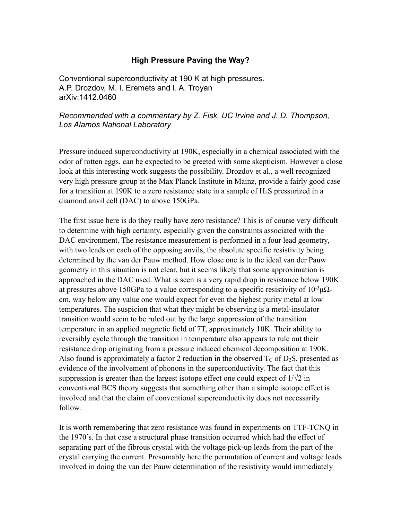## **High Pressure Paving the Way?**

Conventional superconductivity at 190 K at high pressures. A.P. Drozdov, M. I. Eremets and I. A. Troyan arXiv:1412.0460

## *Recommended with a commentary by Z. Fisk, UC Irvine and J. D. Thompson, Los Alamos National Laboratory*

Pressure induced superconductivity at 190K, especially in a chemical associated with the odor of rotten eggs, can be expected to be greeted with some skepticism. However a close look at this interesting work suggests the possibility. Drozdov et al., a well recognized very high pressure group at the Max Planck Institute in Mainz, provide a fairly good case for a transition at 190K to a zero resistance state in a sample of  $H_2S$  pressurized in a diamond anvil cell (DAC) to above 150GPa.

The first issue here is do they really have zero resistance? This is of course very difficult to determine with high certainty, especially given the constraints associated with the DAC environment. The resistance measurement is performed in a four lead geometry, with two leads on each of the opposing anvils, the absolute specific resistivity being determined by the van der Pauw method. How close one is to the ideal van der Pauw geometry in this situation is not clear, but it seems likely that some approximation is approached in the DAC used. What is seen is a very rapid drop in resistance below 190K at pressures above 150GPa to a value corresponding to a specific resistivity of  $10^{-3} \mu\Omega$ cm, way below any value one would expect for even the highest purity metal at low temperatures. The suspicion that what they might be observing is a metal-insulator transition would seem to be ruled out by the large suppression of the transition temperature in an applied magnetic field of 7T, approximately 10K. Their ability to reversibly cycle through the transition in temperature also appears to rule out their resistance drop originating from a pressure induced chemical decomposition at 190K. Also found is approximately a factor 2 reduction in the observed  $T_C$  of  $D_2S$ , presented as evidence of the involvement of phonons in the superconductivity. The fact that this suppression is greater than the largest isotope effect one could expect of  $1/\sqrt{2}$  in conventional BCS theory suggests that something other than a simple isotope effect is involved and that the claim of conventional superconductivity does not necessarily follow.

It is worth remembering that zero resistance was found in experiments on TTF-TCNQ in the 1970's. In that case a structural phase transition occurred which had the effect of separating part of the fibrous crystal with the voltage pick-up leads from the part of the crystal carrying the current. Presumably here the permutation of current and voltage leads involved in doing the van der Pauw determination of the resistivity would immediately